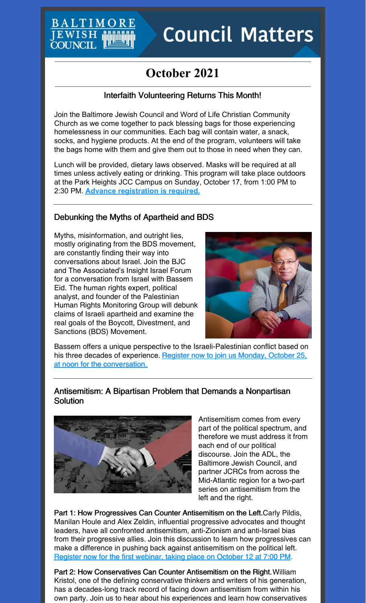## BALTIMO **JEWISH COUNCIL**

# **Council Matters**

# **October 2021**

#### Interfaith Volunteering Returns This Month!

Join the Baltimore Jewish Council and Word of Life Christian Community Church as we come together to pack blessing bags for those experiencing homelessness in our communities. Each bag will contain water, a snack, socks, and hygiene products. At the end of the program, volunteers will take the bags home with them and give them out to those in need when they can.

Lunch will be provided, dietary laws observed. Masks will be required at all times unless actively eating or drinking. This program will take place outdoors at the Park Heights JCC Campus on Sunday, October 17, from 1:00 PM to 2:30 PM. **Advance [registration](https://events.idonate.com/blessingbags) is required.**

#### Debunking the Myths of Apartheid and BDS

Myths, misinformation, and outright lies, mostly originating from the BDS movement, are constantly finding their way into conversations about Israel. Join the BJC and The Associated's Insight Israel Forum for a conversation from Israel with Bassem Eid. The human rights expert, political analyst, and founder of the Palestinian Human Rights Monitoring Group will debunk claims of Israeli apartheid and examine the real goals of the Boycott, Divestment, and Sanctions (BDS) Movement.



Bassem offers a unique perspective to the Israeli-Palestinian conflict based on his three decades of experience. Register now to join us Monday, October 25, at noon for the [conversation.](https://jcfb.zoom.us/webinar/register/WN_en-zmE6WQg24CsmnwiUXDg)

#### Antisemitism: A Bipartisan Problem that Demands a Nonpartisan **Solution**



Antisemitism comes from every part of the political spectrum, and therefore we must address it from each end of our political discourse. Join the ADL, the Baltimore Jewish Council, and partner JCRCs from across the Mid-Atlantic region for a two-part series on antisemitism from the left and the right.

Part 1: How Progressives Can Counter Antisemitism on the Left.Carly Pildis, Manilan Houle and Alex Zeldin, influential progressive advocates and thought leaders, have all confronted antisemitism, anti-Zionism and anti-Israel bias from their progressive allies. Join this discussion to learn how progressives can make a difference in pushing back against antisemitism on the political left. Register now for the first [webinar,](https://jewishphilly.zoom.us/webinar/register/WN_m9lNRH4CRq6Lo5e6BwXxfQ) taking place on October 12 at 7:00 PM.

Part 2: How Conservatives Can Counter Antisemitism on the Right.William Kristol, one of the defining conservative thinkers and writers of his generation, has a decades-long track record of facing down antisemitism from within his own party. Join us to hear about his experiences and learn how conservatives